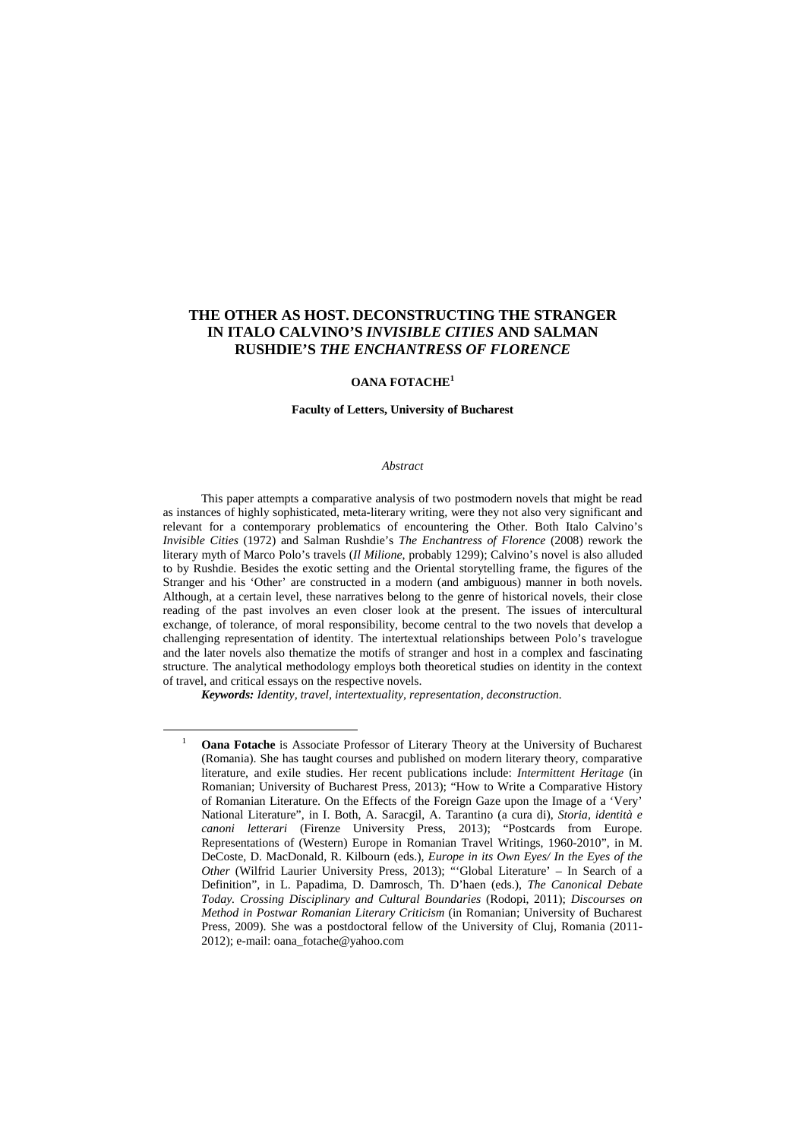# **THE OTHER AS HOST. DECONSTRUCTING THE STRANGER IN ITALO CALVINO'S** *INVISIBLE CITIES* **AND SALMAN RUSHDIE'S** *THE ENCHANTRESS OF FLORENCE*

### **OANA FOTACHE<sup>1</sup>**

#### **Faculty of Letters, University of Bucharest**

#### *Abstract*

This paper attempts a comparative analysis of two postmodern novels that might be read as instances of highly sophisticated, meta-literary writing, were they not also very significant and relevant for a contemporary problematics of encountering the Other. Both Italo Calvino's *Invisible Cities* (1972) and Salman Rushdie's *The Enchantress of Florence* (2008) rework the literary myth of Marco Polo's travels (*Il Milione*, probably 1299); Calvino's novel is also alluded to by Rushdie. Besides the exotic setting and the Oriental storytelling frame, the figures of the Stranger and his 'Other' are constructed in a modern (and ambiguous) manner in both novels. Although, at a certain level, these narratives belong to the genre of historical novels, their close reading of the past involves an even closer look at the present. The issues of intercultural exchange, of tolerance, of moral responsibility, become central to the two novels that develop a challenging representation of identity. The intertextual relationships between Polo's travelogue and the later novels also thematize the motifs of stranger and host in a complex and fascinating structure. The analytical methodology employs both theoretical studies on identity in the context of travel, and critical essays on the respective novels.

*Keywords: Identity, travel, intertextuality, representation, deconstruction.* 

<sup>1</sup> **Oana Fotache** is Associate Professor of Literary Theory at the University of Bucharest (Romania). She has taught courses and published on modern literary theory, comparative literature, and exile studies. Her recent publications include: *Intermittent Heritage* (in Romanian; University of Bucharest Press, 2013); "How to Write a Comparative History of Romanian Literature. On the Effects of the Foreign Gaze upon the Image of a 'Very' National Literature", in I. Both, A. Saracgil, A. Tarantino (a cura di), *Storia, identità e canoni letterari* (Firenze University Press, 2013); "Postcards from Europe. Representations of (Western) Europe in Romanian Travel Writings, 1960-2010", in M. DeCoste, D. MacDonald, R. Kilbourn (eds.), *Europe in its Own Eyes/ In the Eyes of the Other* (Wilfrid Laurier University Press, 2013); "'Global Literature' – In Search of a Definition", in L. Papadima, D. Damrosch, Th. D'haen (eds.), *The Canonical Debate Today. Crossing Disciplinary and Cultural Boundaries* (Rodopi, 2011); *Discourses on Method in Postwar Romanian Literary Criticism* (in Romanian; University of Bucharest Press, 2009). She was a postdoctoral fellow of the University of Cluj, Romania (2011- 2012); e-mail: oana\_fotache@yahoo.com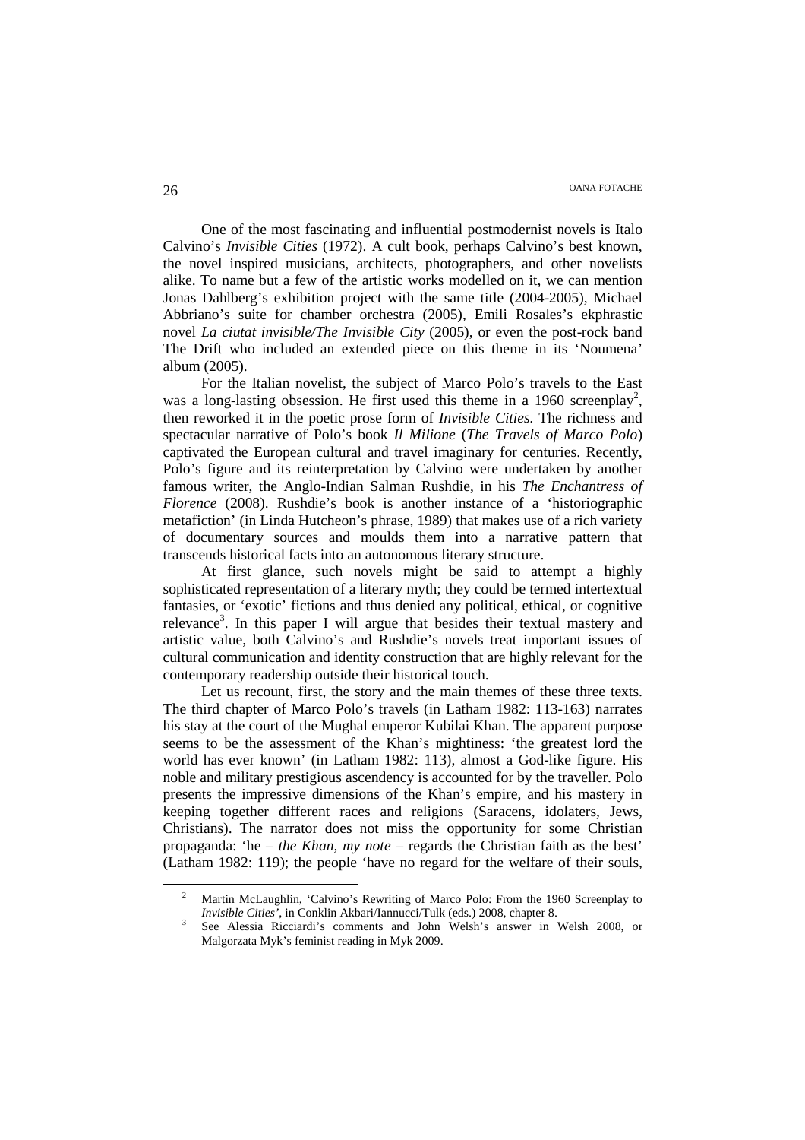One of the most fascinating and influential postmodernist novels is Italo Calvino's *Invisible Cities* (1972). A cult book, perhaps Calvino's best known, the novel inspired musicians, architects, photographers, and other novelists alike. To name but a few of the artistic works modelled on it, we can mention Jonas Dahlberg's exhibition project with the same title (2004-2005), Michael Abbriano's suite for chamber orchestra (2005), Emili Rosales's ekphrastic novel *La ciutat invisible/The Invisible City* (2005), or even the post-rock band The Drift who included an extended piece on this theme in its 'Noumena' album (2005).

For the Italian novelist, the subject of Marco Polo's travels to the East was a long-lasting obsession. He first used this theme in a 1960 screenplay<sup>2</sup>, then reworked it in the poetic prose form of *Invisible Cities.* The richness and spectacular narrative of Polo's book *Il Milione* (*The Travels of Marco Polo*) captivated the European cultural and travel imaginary for centuries. Recently, Polo's figure and its reinterpretation by Calvino were undertaken by another famous writer, the Anglo-Indian Salman Rushdie, in his *The Enchantress of Florence* (2008). Rushdie's book is another instance of a 'historiographic metafiction' (in Linda Hutcheon's phrase, 1989) that makes use of a rich variety of documentary sources and moulds them into a narrative pattern that transcends historical facts into an autonomous literary structure.

At first glance, such novels might be said to attempt a highly sophisticated representation of a literary myth; they could be termed intertextual fantasies, or 'exotic' fictions and thus denied any political, ethical, or cognitive relevance<sup>3</sup>. In this paper I will argue that besides their textual mastery and artistic value, both Calvino's and Rushdie's novels treat important issues of cultural communication and identity construction that are highly relevant for the contemporary readership outside their historical touch.

Let us recount, first, the story and the main themes of these three texts. The third chapter of Marco Polo's travels (in Latham 1982: 113-163) narrates his stay at the court of the Mughal emperor Kubilai Khan. The apparent purpose seems to be the assessment of the Khan's mightiness: 'the greatest lord the world has ever known' (in Latham 1982: 113), almost a God-like figure. His noble and military prestigious ascendency is accounted for by the traveller. Polo presents the impressive dimensions of the Khan's empire, and his mastery in keeping together different races and religions (Saracens, idolaters, Jews, Christians). The narrator does not miss the opportunity for some Christian propaganda: 'he – *the Khan, my note* – regards the Christian faith as the best' (Latham 1982: 119); the people 'have no regard for the welfare of their souls,

<sup>2</sup> Martin McLaughlin, 'Calvino's Rewriting of Marco Polo: From the 1960 Screenplay to *Invisible Cities'*, in Conklin Akbari/Iannucci/Tulk (eds.) 2008, chapter 8.

<sup>3</sup> See Alessia Ricciardi's comments and John Welsh's answer in Welsh 2008, or Malgorzata Myk's feminist reading in Myk 2009.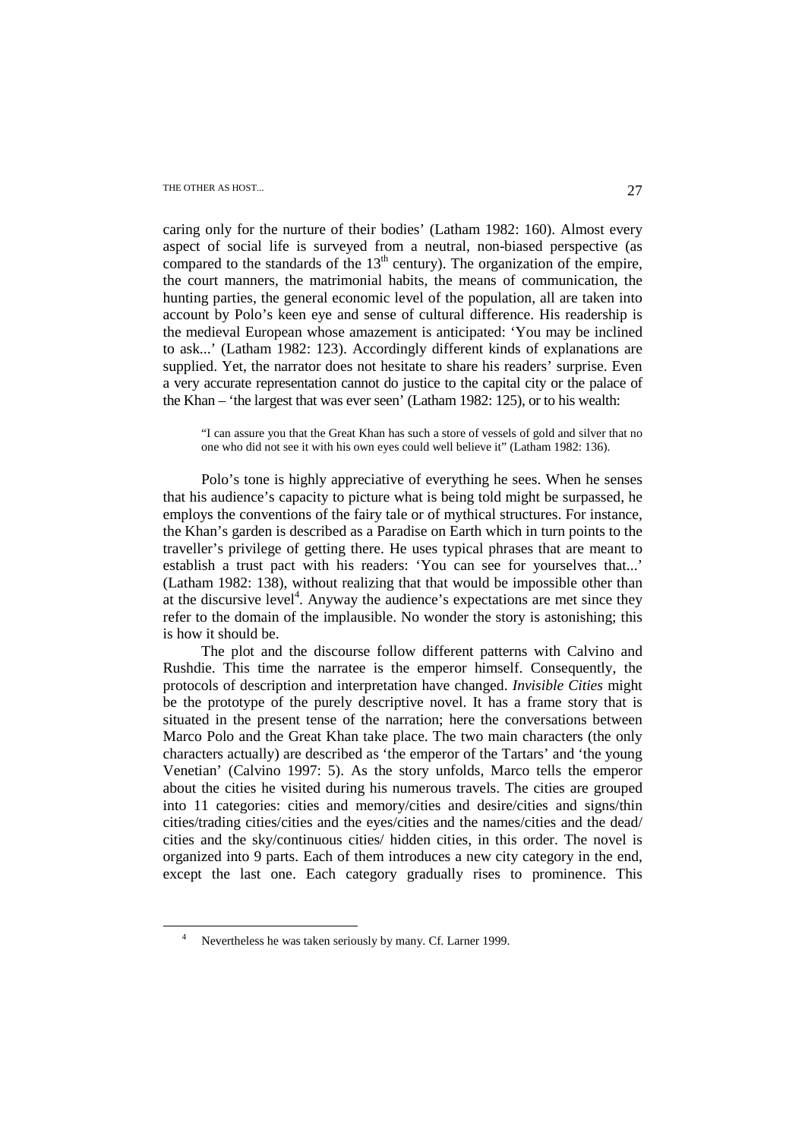# THE OTHER AS HOST... 27

caring only for the nurture of their bodies' (Latham 1982: 160). Almost every aspect of social life is surveyed from a neutral, non-biased perspective (as compared to the standards of the  $13<sup>th</sup>$  century). The organization of the empire, the court manners, the matrimonial habits, the means of communication, the hunting parties, the general economic level of the population, all are taken into account by Polo's keen eye and sense of cultural difference. His readership is the medieval European whose amazement is anticipated: 'You may be inclined to ask...' (Latham 1982: 123). Accordingly different kinds of explanations are supplied. Yet, the narrator does not hesitate to share his readers' surprise. Even a very accurate representation cannot do justice to the capital city or the palace of the Khan – 'the largest that was ever seen' (Latham 1982: 125), or to his wealth:

"I can assure you that the Great Khan has such a store of vessels of gold and silver that no one who did not see it with his own eyes could well believe it" (Latham 1982: 136).

Polo's tone is highly appreciative of everything he sees. When he senses that his audience's capacity to picture what is being told might be surpassed, he employs the conventions of the fairy tale or of mythical structures. For instance, the Khan's garden is described as a Paradise on Earth which in turn points to the traveller's privilege of getting there. He uses typical phrases that are meant to establish a trust pact with his readers: 'You can see for yourselves that...' (Latham 1982: 138), without realizing that that would be impossible other than at the discursive level<sup>4</sup>. Anyway the audience's expectations are met since they refer to the domain of the implausible. No wonder the story is astonishing; this is how it should be.

The plot and the discourse follow different patterns with Calvino and Rushdie. This time the narratee is the emperor himself. Consequently, the protocols of description and interpretation have changed. *Invisible Cities* might be the prototype of the purely descriptive novel. It has a frame story that is situated in the present tense of the narration; here the conversations between Marco Polo and the Great Khan take place. The two main characters (the only characters actually) are described as 'the emperor of the Tartars' and 'the young Venetian' (Calvino 1997: 5). As the story unfolds, Marco tells the emperor about the cities he visited during his numerous travels. The cities are grouped into 11 categories: cities and memory/cities and desire/cities and signs/thin cities/trading cities/cities and the eyes/cities and the names/cities and the dead/ cities and the sky/continuous cities/ hidden cities, in this order. The novel is organized into 9 parts. Each of them introduces a new city category in the end, except the last one. Each category gradually rises to prominence. This

<sup>4</sup> Nevertheless he was taken seriously by many. Cf. Larner 1999.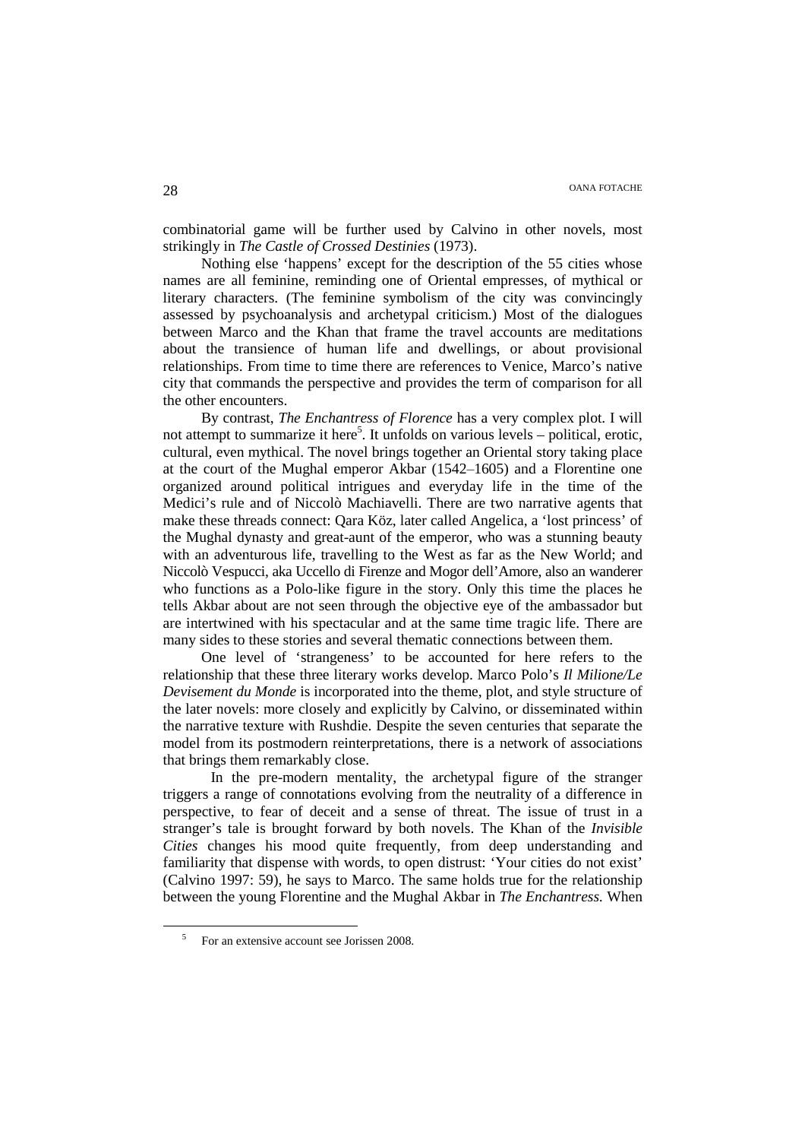combinatorial game will be further used by Calvino in other novels, most strikingly in *The Castle of Crossed Destinies* (1973).

Nothing else 'happens' except for the description of the 55 cities whose names are all feminine, reminding one of Oriental empresses, of mythical or literary characters. (The feminine symbolism of the city was convincingly assessed by psychoanalysis and archetypal criticism.) Most of the dialogues between Marco and the Khan that frame the travel accounts are meditations about the transience of human life and dwellings, or about provisional relationships. From time to time there are references to Venice, Marco's native city that commands the perspective and provides the term of comparison for all the other encounters.

By contrast, *The Enchantress of Florence* has a very complex plot. I will not attempt to summarize it here<sup>5</sup>. It unfolds on various levels – political, erotic, cultural, even mythical. The novel brings together an Oriental story taking place at the court of the Mughal emperor Akbar (1542‒1605) and a Florentine one organized around political intrigues and everyday life in the time of the Medici's rule and of Niccolò Machiavelli. There are two narrative agents that make these threads connect: Qara Köz, later called Angelica, a 'lost princess' of the Mughal dynasty and great-aunt of the emperor, who was a stunning beauty with an adventurous life, travelling to the West as far as the New World; and Niccolò Vespucci, aka Uccello di Firenze and Mogor dell'Amore, also an wanderer who functions as a Polo-like figure in the story. Only this time the places he tells Akbar about are not seen through the objective eye of the ambassador but are intertwined with his spectacular and at the same time tragic life. There are many sides to these stories and several thematic connections between them.

One level of 'strangeness' to be accounted for here refers to the relationship that these three literary works develop. Marco Polo's *Il Milione/Le Devisement du Monde* is incorporated into the theme, plot, and style structure of the later novels: more closely and explicitly by Calvino, or disseminated within the narrative texture with Rushdie. Despite the seven centuries that separate the model from its postmodern reinterpretations, there is a network of associations that brings them remarkably close.

 In the pre-modern mentality, the archetypal figure of the stranger triggers a range of connotations evolving from the neutrality of a difference in perspective, to fear of deceit and a sense of threat. The issue of trust in a stranger's tale is brought forward by both novels. The Khan of the *Invisible Cities* changes his mood quite frequently, from deep understanding and familiarity that dispense with words, to open distrust: 'Your cities do not exist' (Calvino 1997: 59), he says to Marco. The same holds true for the relationship between the young Florentine and the Mughal Akbar in *The Enchantress.* When

<sup>5</sup> For an extensive account see Jorissen 2008.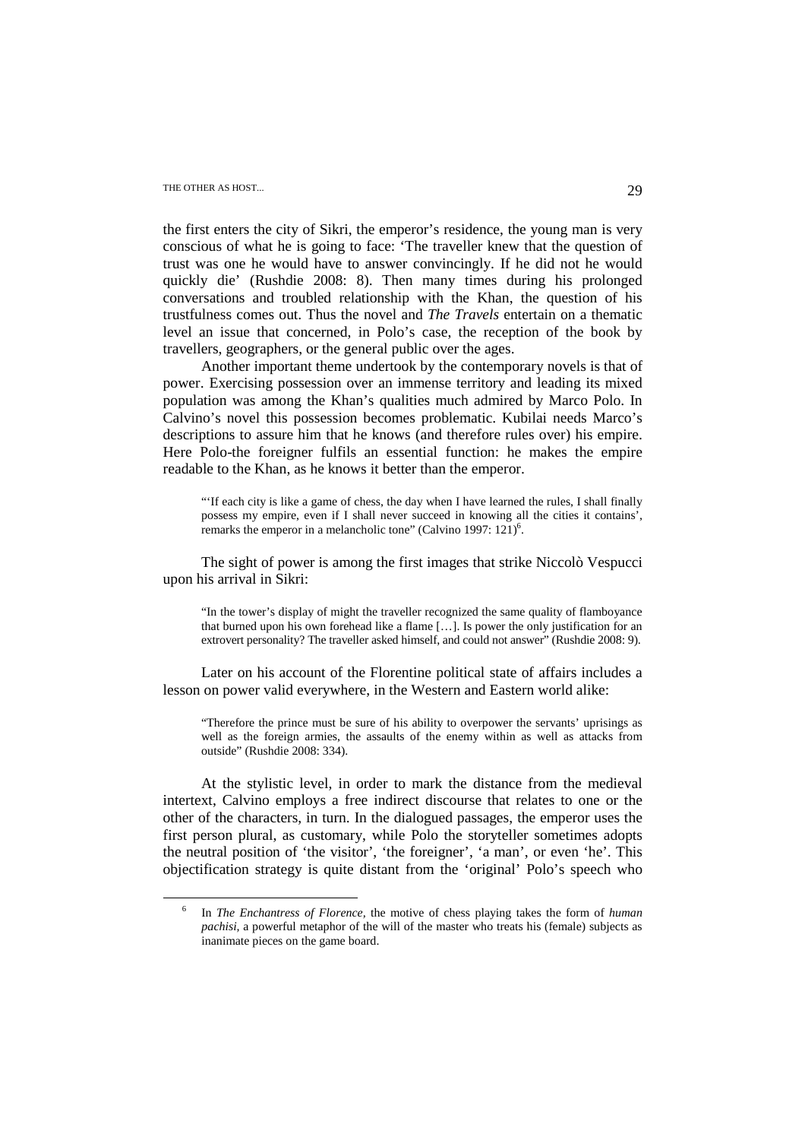# THE OTHER AS HOST... 29

 $\overline{a}$ 

the first enters the city of Sikri, the emperor's residence, the young man is very conscious of what he is going to face: 'The traveller knew that the question of trust was one he would have to answer convincingly. If he did not he would quickly die' (Rushdie 2008: 8). Then many times during his prolonged conversations and troubled relationship with the Khan, the question of his trustfulness comes out. Thus the novel and *The Travels* entertain on a thematic level an issue that concerned, in Polo's case, the reception of the book by travellers, geographers, or the general public over the ages.

Another important theme undertook by the contemporary novels is that of power. Exercising possession over an immense territory and leading its mixed population was among the Khan's qualities much admired by Marco Polo. In Calvino's novel this possession becomes problematic. Kubilai needs Marco's descriptions to assure him that he knows (and therefore rules over) his empire. Here Polo-the foreigner fulfils an essential function: he makes the empire readable to the Khan, as he knows it better than the emperor.

"'If each city is like a game of chess, the day when I have learned the rules, I shall finally possess my empire, even if I shall never succeed in knowing all the cities it contains', remarks the emperor in a melancholic tone" (Calvino 1997:  $121$ )<sup>6</sup>.

The sight of power is among the first images that strike Niccolò Vespucci upon his arrival in Sikri:

"In the tower's display of might the traveller recognized the same quality of flamboyance that burned upon his own forehead like a flame […]. Is power the only justification for an extrovert personality? The traveller asked himself, and could not answer" (Rushdie 2008: 9).

Later on his account of the Florentine political state of affairs includes a lesson on power valid everywhere, in the Western and Eastern world alike:

"Therefore the prince must be sure of his ability to overpower the servants' uprisings as well as the foreign armies, the assaults of the enemy within as well as attacks from outside" (Rushdie 2008: 334).

At the stylistic level, in order to mark the distance from the medieval intertext, Calvino employs a free indirect discourse that relates to one or the other of the characters, in turn. In the dialogued passages, the emperor uses the first person plural, as customary, while Polo the storyteller sometimes adopts the neutral position of 'the visitor', 'the foreigner', 'a man', or even 'he'. This objectification strategy is quite distant from the 'original' Polo's speech who

<sup>6</sup> In *The Enchantress of Florence,* the motive of chess playing takes the form of *human pachisi,* a powerful metaphor of the will of the master who treats his (female) subjects as inanimate pieces on the game board.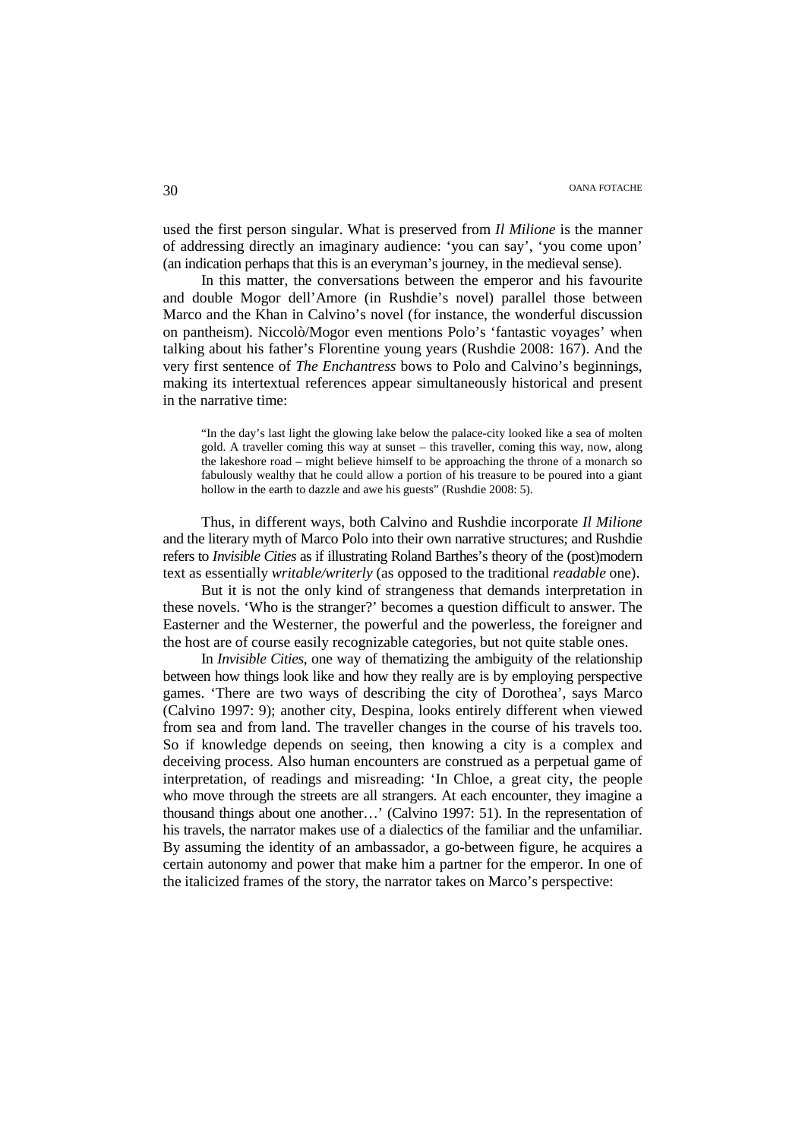used the first person singular. What is preserved from *Il Milione* is the manner of addressing directly an imaginary audience: 'you can say', 'you come upon' (an indication perhaps that this is an everyman's journey, in the medieval sense).

In this matter, the conversations between the emperor and his favourite and double Mogor dell'Amore (in Rushdie's novel) parallel those between Marco and the Khan in Calvino's novel (for instance, the wonderful discussion on pantheism). Niccolò/Mogor even mentions Polo's 'fantastic voyages' when talking about his father's Florentine young years (Rushdie 2008: 167). And the very first sentence of *The Enchantress* bows to Polo and Calvino's beginnings, making its intertextual references appear simultaneously historical and present in the narrative time:

"In the day's last light the glowing lake below the palace-city looked like a sea of molten gold. A traveller coming this way at sunset – this traveller, coming this way, now, along the lakeshore road – might believe himself to be approaching the throne of a monarch so fabulously wealthy that he could allow a portion of his treasure to be poured into a giant hollow in the earth to dazzle and awe his guests" (Rushdie 2008: 5).

Thus, in different ways, both Calvino and Rushdie incorporate *Il Milione*  and the literary myth of Marco Polo into their own narrative structures; and Rushdie refers to *Invisible Cities* as if illustrating Roland Barthes's theory of the (post)modern text as essentially *writable/writerly* (as opposed to the traditional *readable* one).

But it is not the only kind of strangeness that demands interpretation in these novels. 'Who is the stranger?' becomes a question difficult to answer. The Easterner and the Westerner, the powerful and the powerless, the foreigner and the host are of course easily recognizable categories, but not quite stable ones.

In *Invisible Cities*, one way of thematizing the ambiguity of the relationship between how things look like and how they really are is by employing perspective games. 'There are two ways of describing the city of Dorothea', says Marco (Calvino 1997: 9); another city, Despina, looks entirely different when viewed from sea and from land. The traveller changes in the course of his travels too. So if knowledge depends on seeing, then knowing a city is a complex and deceiving process. Also human encounters are construed as a perpetual game of interpretation, of readings and misreading: 'In Chloe, a great city, the people who move through the streets are all strangers. At each encounter, they imagine a thousand things about one another…' (Calvino 1997: 51). In the representation of his travels, the narrator makes use of a dialectics of the familiar and the unfamiliar. By assuming the identity of an ambassador, a go-between figure, he acquires a certain autonomy and power that make him a partner for the emperor. In one of the italicized frames of the story, the narrator takes on Marco's perspective: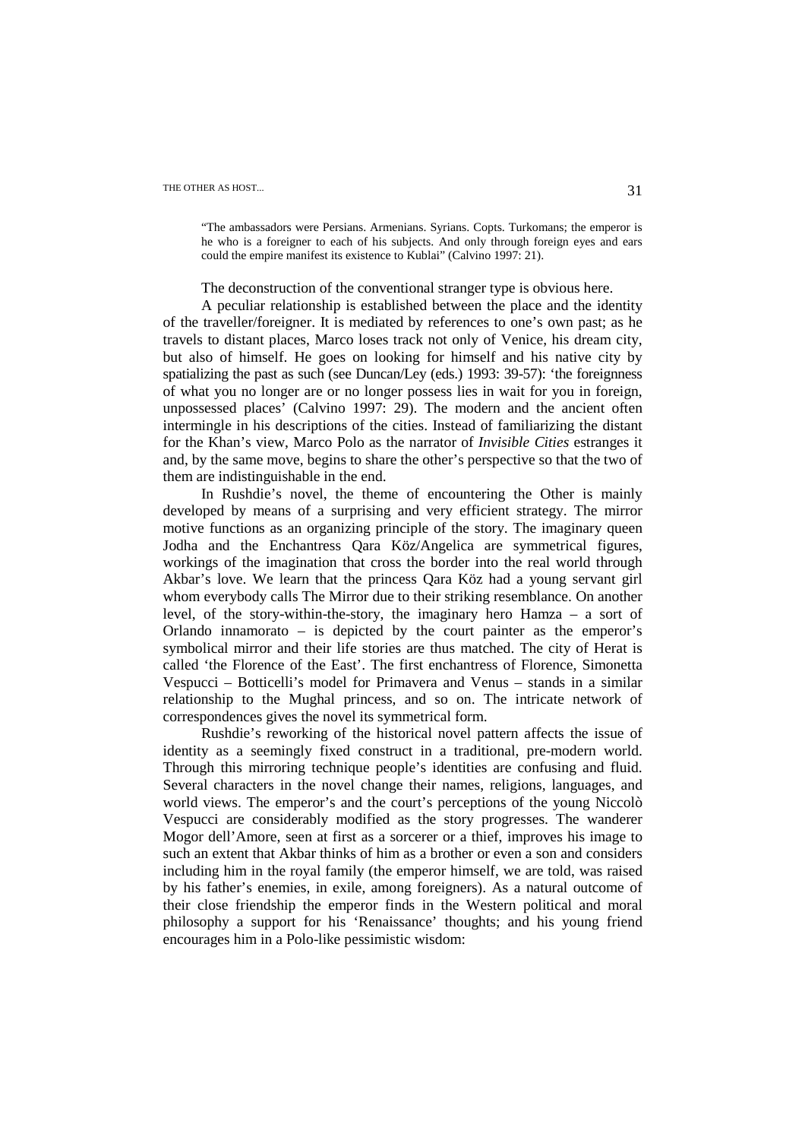# THE OTHER AS HOST... 31

"The ambassadors were Persians. Armenians. Syrians. Copts. Turkomans; the emperor is he who is a foreigner to each of his subjects. And only through foreign eyes and ears could the empire manifest its existence to Kublai" (Calvino 1997: 21).

The deconstruction of the conventional stranger type is obvious here.

A peculiar relationship is established between the place and the identity of the traveller/foreigner. It is mediated by references to one's own past; as he travels to distant places, Marco loses track not only of Venice, his dream city, but also of himself. He goes on looking for himself and his native city by spatializing the past as such (see Duncan/Ley (eds.) 1993: 39-57): 'the foreignness of what you no longer are or no longer possess lies in wait for you in foreign, unpossessed places' (Calvino 1997: 29). The modern and the ancient often intermingle in his descriptions of the cities. Instead of familiarizing the distant for the Khan's view, Marco Polo as the narrator of *Invisible Cities* estranges it and, by the same move, begins to share the other's perspective so that the two of them are indistinguishable in the end.

In Rushdie's novel, the theme of encountering the Other is mainly developed by means of a surprising and very efficient strategy. The mirror motive functions as an organizing principle of the story. The imaginary queen Jodha and the Enchantress Qara Köz/Angelica are symmetrical figures, workings of the imagination that cross the border into the real world through Akbar's love. We learn that the princess Qara Köz had a young servant girl whom everybody calls The Mirror due to their striking resemblance. On another level, of the story-within-the-story, the imaginary hero Hamza – a sort of Orlando innamorato – is depicted by the court painter as the emperor's symbolical mirror and their life stories are thus matched. The city of Herat is called 'the Florence of the East'. The first enchantress of Florence, Simonetta Vespucci – Botticelli's model for Primavera and Venus – stands in a similar relationship to the Mughal princess, and so on. The intricate network of correspondences gives the novel its symmetrical form.

Rushdie's reworking of the historical novel pattern affects the issue of identity as a seemingly fixed construct in a traditional, pre-modern world. Through this mirroring technique people's identities are confusing and fluid. Several characters in the novel change their names, religions, languages, and world views. The emperor's and the court's perceptions of the young Niccolò Vespucci are considerably modified as the story progresses. The wanderer Mogor dell'Amore, seen at first as a sorcerer or a thief, improves his image to such an extent that Akbar thinks of him as a brother or even a son and considers including him in the royal family (the emperor himself, we are told, was raised by his father's enemies, in exile, among foreigners). As a natural outcome of their close friendship the emperor finds in the Western political and moral philosophy a support for his 'Renaissance' thoughts; and his young friend encourages him in a Polo-like pessimistic wisdom: